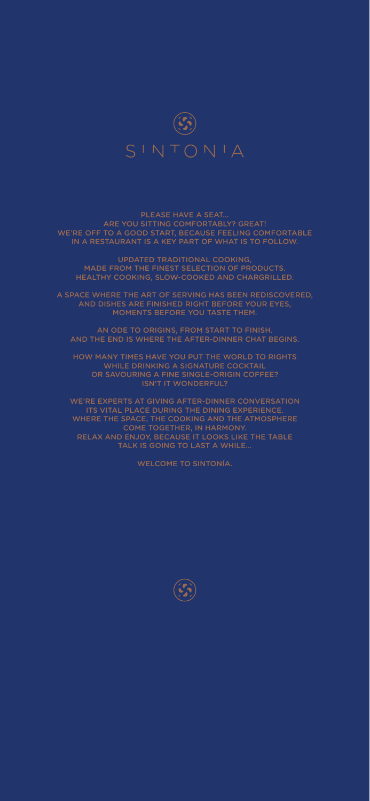

### ARE YOU SITTING COMFORTABLY? GREAT! WE'RE OFF TO A GOOD START, BECAUSE FEELING COMFORTABLE IN A RESTAURANT IS A KEY PART OF WHAT IS TO FOLLOW.

UPDATED TRADITIONAL COOKING, MADE FROM THE FINEST SELECTION OF PRODUCTS. HEALTHY COOKING, SLOW-COOKED AND CHARGRILLED.

A SPACE WHERE THE ART OF SERVING HAS BEEN REDISCOVERED, AND DISHES ARE FINISHED RIGHT BEFORE YOUR EYES, MOMENTS BEFORE YOU TASTE THEM.

AN ODE TO ORIGINS, FROM START TO FINISH. AND THE END IS WHERE THE AFTER-DINNER CHAT BEGINS.

HOW MANY TIMES HAVE YOU PUT THE WORLD TO RIGHTS WHILE DRINKING A SIGNATURE COCKTAIL OR SAVOURING A FINE SINGLE-ORIGIN COFFEE? ISN'T IT WONDERFUL?

ITS VITAL PLACE DURING THE DINING EXPERIENCE. WHERE THE SPACE, THE COOKING AND THE ATMOSPHERE COME TOGETHER, IN HARMONY. RELAX AND ENJOY, BECAUSE IT LOOKS LIKE THE TABLE TALK IS GOING TO LAST A WHILE…

WELCOME TO SINTONÍA.

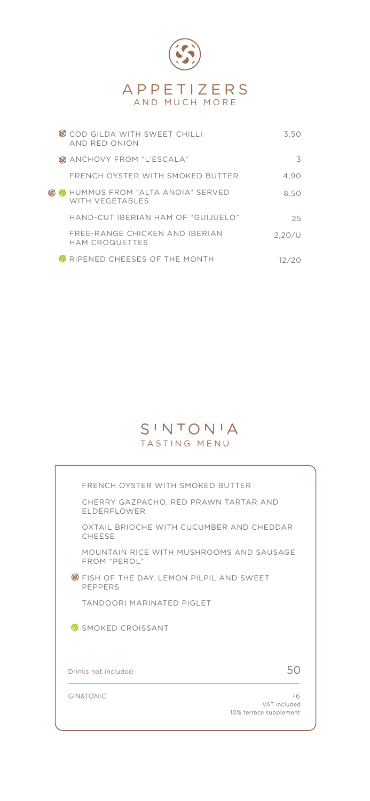

|  | COD GILDA WITH SWEET CHILLI<br>AND RED ONION                | 3.50     |
|--|-------------------------------------------------------------|----------|
|  | <b>@</b> ANCHOVY FROM "L'ESCALA"                            | 3        |
|  | FRENCH OYSTER WITH SMOKED BUTTER                            | 4,90     |
|  | <b>@</b> HUMMUS FROM "ALTA ANOIA" SERVED<br>WITH VEGETABLES | 8.50     |
|  | HAND-CUT IBERIAN HAM OF "GUIJUELO"                          | 25       |
|  | FREE-RANGE CHICKEN AND IBERIAN<br>HAM CROQUETTES            | 2.20 / U |
|  | RIPENED CHEESES OF THE MONTH                                |          |

## SINTONIA TASTING MENU

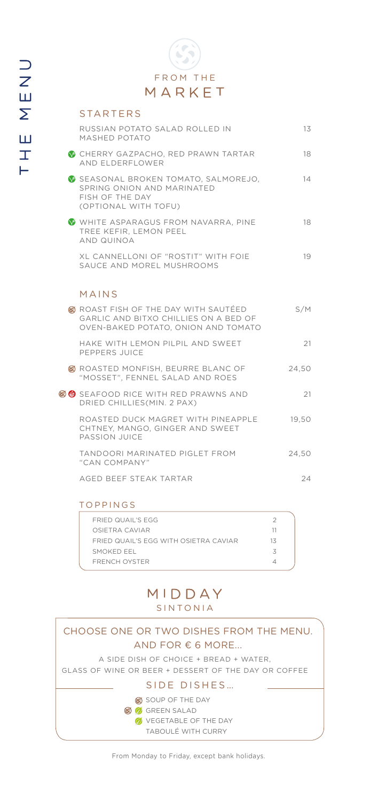| <b>STARTERS</b>                                                                                                             |       |
|-----------------------------------------------------------------------------------------------------------------------------|-------|
| RUSSIAN POTATO SALAD ROLLED IN<br><b>MASHED POTATO</b>                                                                      | 13    |
| CHERRY GAZPACHO, RED PRAWN TARTAR<br>AND ELDERFLOWER                                                                        | 18    |
| SEASONAL BROKEN TOMATO, SALMOREJO,<br>SPRING ONION AND MARINATED<br>FISH OF THE DAY<br>(OPTIONAL WITH TOFU)                 | 14    |
| WHITE ASPARAGUS FROM NAVARRA, PINE<br>TREE KEFIR, LEMON PEEL<br>AND QUINOA                                                  | 18    |
| XL CANNELLONI OF "ROSTIT" WITH FOIE<br>SAUCE AND MOREL MUSHROOMS                                                            | 19    |
| MAINS                                                                                                                       |       |
| <b>@ ROAST FISH OF THE DAY WITH SAUTÉED</b><br>GARLIC AND BITXO CHILLIES ON A BED OF<br>OVEN-BAKED POTATO, ONION AND TOMATO | S/M   |
| HAKE WITH LEMON PILPIL AND SWEET<br>PEPPERS JUICE                                                                           | 21    |
| G ROASTED MONFISH, BEURRE BLANC OF<br>"MOSSET", FENNEL SALAD AND ROES                                                       | 24.50 |
| (35) SEAFOOD RICE WITH RED PRAWNS AND<br>DRIED CHILLIES(MIN. 2 PAX)                                                         | 21    |
| ROASTED DUCK MAGRET WITH PINEAPPLE<br>CHTNEY, MANGO, GINGER AND SWEET<br>PASSION JUICE                                      | 19,50 |
| TANDOORI MARINATED PIGLET FROM<br>"CAN COMPANY"                                                                             | 24.50 |
| AGED BEEF STEAK TARTAR                                                                                                      | 24    |
|                                                                                                                             |       |

### TOPPINGS

| FRIED QUAIL'S EGG                     |    |  |
|---------------------------------------|----|--|
| OSIFTRA CAVIAR                        |    |  |
| FRIED QUAIL'S FGG WITH OSIFTRA CAVIAR | 13 |  |
| SMOKED FFL                            |    |  |
| <b>FRENCH OYSTER</b>                  |    |  |
|                                       |    |  |

### MIDDAY SINTONIA